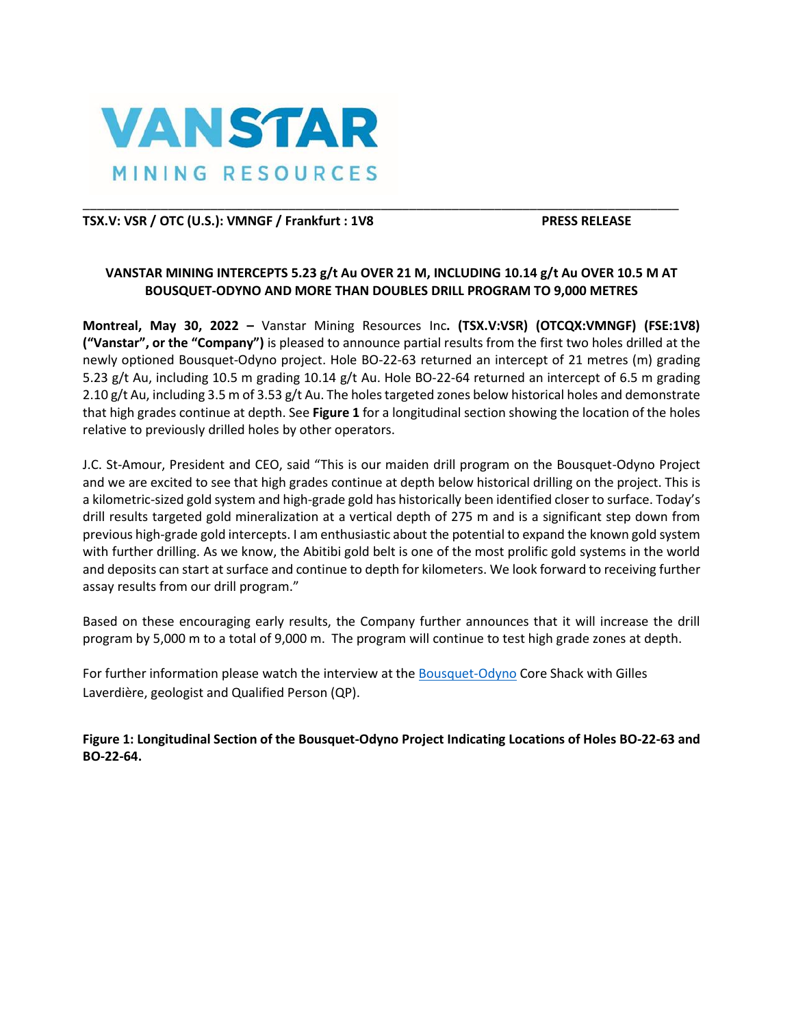

# TSX.V: VSR / OTC (U.S.): VMNGF / Frankfurt : 1V8 PRESS RELEASE

# **VANSTAR MINING INTERCEPTS 5.23 g/t Au OVER 21 M, INCLUDING 10.14 g/t Au OVER 10.5 M AT BOUSQUET-ODYNO AND MORE THAN DOUBLES DRILL PROGRAM TO 9,000 METRES**

\_\_\_\_\_\_\_\_\_\_\_\_\_\_\_\_\_\_\_\_\_\_\_\_\_\_\_\_\_\_\_\_\_\_\_\_\_\_\_\_\_\_\_\_\_\_\_\_\_\_\_\_\_\_\_\_\_\_\_\_\_\_\_\_\_\_\_\_\_\_\_\_\_\_\_\_\_\_\_\_\_\_\_\_

**Montreal, May 30, 2022 –** Vanstar Mining Resources Inc**. (TSX.V:VSR) (OTCQX:VMNGF) (FSE:1V8) ("Vanstar", or the "Company")** is pleased to announce partial results from the first two holes drilled at the newly optioned Bousquet-Odyno project. Hole BO-22-63 returned an intercept of 21 metres (m) grading 5.23 g/t Au, including 10.5 m grading 10.14 g/t Au. Hole BO-22-64 returned an intercept of 6.5 m grading 2.10 g/t Au, including 3.5 m of 3.53 g/t Au. The holes targeted zones below historical holes and demonstrate that high grades continue at depth. See **Figure 1** for a longitudinal section showing the location of the holes relative to previously drilled holes by other operators.

J.C. St-Amour, President and CEO, said "This is our maiden drill program on the Bousquet-Odyno Project and we are excited to see that high grades continue at depth below historical drilling on the project. This is a kilometric-sized gold system and high-grade gold has historically been identified closer to surface. Today's drill results targeted gold mineralization at a vertical depth of 275 m and is a significant step down from previous high-grade gold intercepts. I am enthusiastic about the potential to expand the known gold system with further drilling. As we know, the Abitibi gold belt is one of the most prolific gold systems in the world and deposits can start at surface and continue to depth for kilometers. We look forward to receiving further assay results from our drill program."

Based on these encouraging early results, the Company further announces that it will increase the drill program by 5,000 m to a total of 9,000 m. The program will continue to test high grade zones at depth.

For further information please watch the interview at the **Bousquet-Odyno** Core Shack with Gilles Laverdière, geologist and Qualified Person (QP).

**Figure 1: Longitudinal Section of the Bousquet-Odyno Project Indicating Locations of Holes BO-22-63 and BO-22-64.**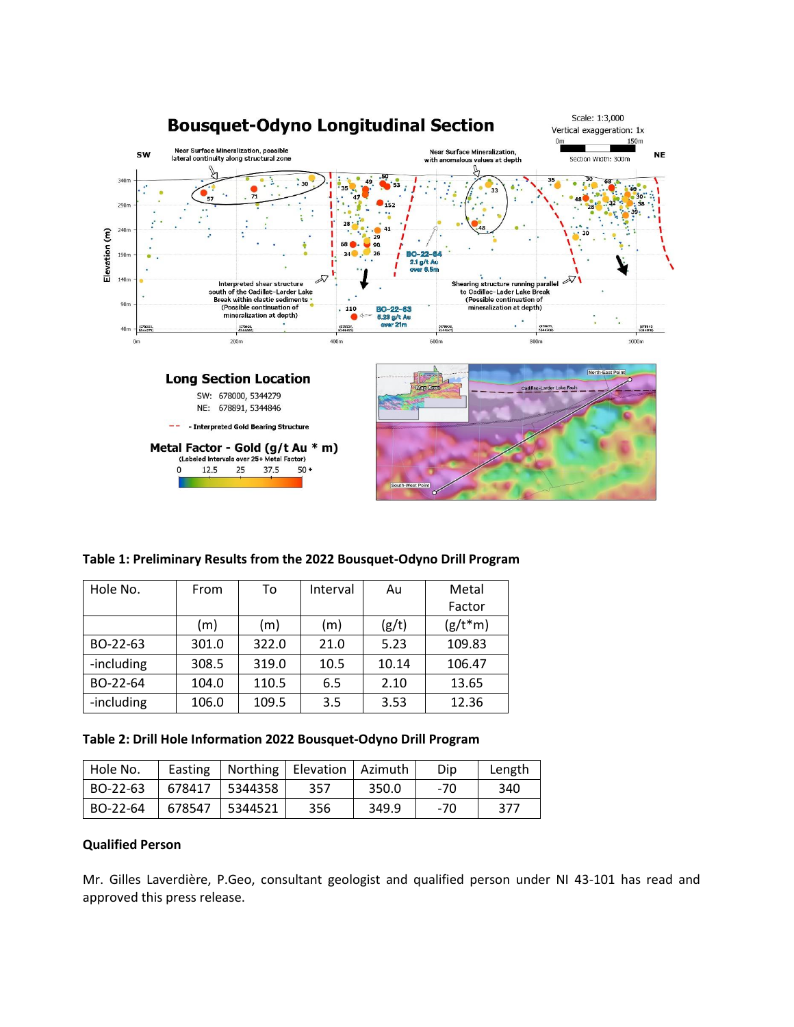

### **Table 1: Preliminary Results from the 2022 Bousquet-Odyno Drill Program**

| Hole No.   | From  | To    | Interval | Au    | Metal     |
|------------|-------|-------|----------|-------|-----------|
|            |       |       |          |       | Factor    |
|            | (m)   | (m)   | (m)      | (g/t) | $(g/t*m)$ |
| BO-22-63   | 301.0 | 322.0 | 21.0     | 5.23  | 109.83    |
| -including | 308.5 | 319.0 | 10.5     | 10.14 | 106.47    |
| BO-22-64   | 104.0 | 110.5 | 6.5      | 2.10  | 13.65     |
| -including | 106.0 | 109.5 | 3.5      | 3.53  | 12.36     |

**Table 2: Drill Hole Information 2022 Bousquet-Odyno Drill Program**

| Hole No. | Easting |         | Northing   Elevation   Azimuth |       | Dip | Length |
|----------|---------|---------|--------------------------------|-------|-----|--------|
| BO-22-63 | 678417  | 5344358 | 357                            | 350.0 | -70 | 340    |
| BO-22-64 | 678547  | 5344521 | 356                            | 349.9 | -70 | 377    |

# **Qualified Person**

Mr. Gilles Laverdière, P.Geo, consultant geologist and qualified person under NI 43-101 has read and approved this press release.